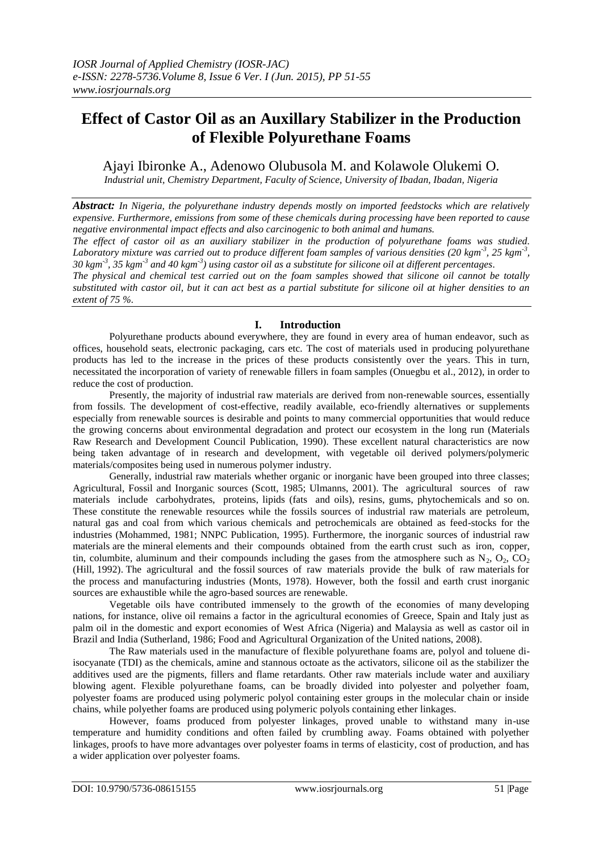# **Effect of Castor Oil as an Auxillary Stabilizer in the Production of Flexible Polyurethane Foams**

Ajayi Ibironke A., Adenowo Olubusola M. and Kolawole Olukemi O.

*Industrial unit, Chemistry Department, Faculty of Science, University of Ibadan, Ibadan, Nigeria*

*Abstract: In Nigeria, the polyurethane industry depends mostly on imported feedstocks which are relatively expensive. Furthermore, emissions from some of these chemicals during processing have been reported to cause negative environmental impact effects and also carcinogenic to both animal and humans.*

*The effect of castor oil as an auxiliary stabilizer in the production of polyurethane foams was studied.*  Laboratory mixture was carried out to produce different foam samples of various densities (20 kgm<sup>-3</sup>, 25 kgm<sup>-3</sup>, *30 kgm-3 , 35 kgm-3 and 40 kgm-3 ) using castor oil as a substitute for silicone oil at different percentages.* 

*The physical and chemical test carried out on the foam samples showed that silicone oil cannot be totally substituted with castor oil, but it can act best as a partial substitute for silicone oil at higher densities to an extent of 75 %.*

# **I. Introduction**

Polyurethane products abound everywhere, they are found in every area of human endeavor, such as offices, household seats, electronic packaging, cars etc. The cost of materials used in producing polyurethane products has led to the increase in the prices of these products consistently over the years. This in turn, necessitated the incorporation of variety of renewable fillers in foam samples (Onuegbu et al., 2012), in order to reduce the cost of production.

Presently, the majority of industrial raw materials are derived from non-renewable sources, essentially from fossils. The development of cost-effective, readily available, eco-friendly alternatives or supplements especially from renewable sources is desirable and points to many commercial opportunities that would reduce the growing concerns about environmental degradation and protect our ecosystem in the long run (Materials Raw Research and Development Council Publication, 1990). These excellent natural characteristics are now being taken advantage of in research and development, with vegetable oil derived polymers/polymeric materials/composites being used in numerous polymer industry.

Generally, industrial raw materials whether organic or inorganic have been grouped into three classes; Agricultural, Fossil and Inorganic sources (Scott, 1985; Ulmanns, 2001). The agricultural sources of raw materials include carbohydrates, proteins, lipids (fats and oils), resins, gums, phytochemicals and so on. These constitute the renewable resources while the fossils sources of industrial raw materials are petroleum, natural gas and coal from which various chemicals and petrochemicals are obtained as feed-stocks for the industries (Mohammed, 1981; NNPC Publication, 1995). Furthermore, the inorganic sources of industrial raw materials are the mineral elements and their compounds obtained from the earth crust such as iron, copper, tin, columbite, aluminum and their compounds including the gases from the atmosphere such as  $N_2$ ,  $O_2$ ,  $CO_2$ (Hill, 1992). The agricultural and the fossil sources of raw materials provide the bulk of raw materials for the process and manufacturing industries (Monts, 1978). However, both the fossil and earth crust inorganic sources are exhaustible while the agro-based sources are renewable.

Vegetable oils have contributed immensely to the growth of the economies of many developing nations, for instance, olive oil remains a factor in the agricultural economies of Greece, Spain and Italy just as palm oil in the domestic and export economies of West Africa (Nigeria) and Malaysia as well as castor oil in Brazil and India (Sutherland, 1986; Food and Agricultural Organization of the United nations, 2008).

The Raw materials used in the manufacture of flexible polyurethane foams are, polyol and toluene diisocyanate (TDI) as the chemicals, amine and stannous octoate as the activators, silicone oil as the stabilizer the additives used are the pigments, fillers and flame retardants. Other raw materials include water and auxiliary blowing agent. Flexible polyurethane foams, can be broadly divided into polyester and polyether foam, polyester foams are produced using polymeric polyol containing ester groups in the molecular chain or inside chains, while polyether foams are produced using polymeric polyols containing ether linkages.

However, foams produced from polyester linkages, proved unable to withstand many in-use temperature and humidity conditions and often failed by crumbling away. Foams obtained with polyether linkages, proofs to have more advantages over polyester foams in terms of elasticity, cost of production, and has a wider application over polyester foams.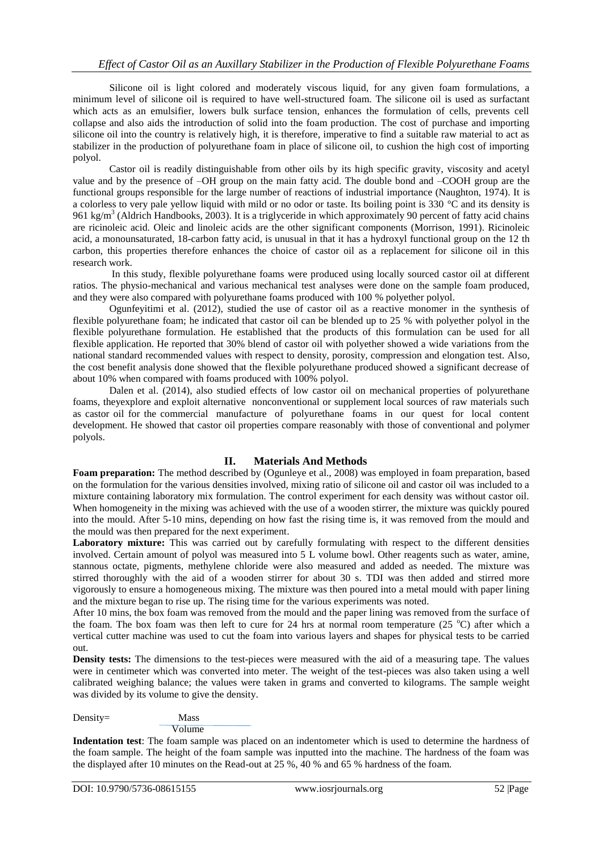Silicone oil is light colored and moderately viscous liquid, for any given foam formulations, a minimum level of silicone oil is required to have well-structured foam. The silicone oil is used as surfactant which acts as an emulsifier, lowers bulk surface tension, enhances the formulation of cells, prevents cell collapse and also aids the introduction of solid into the foam production. The cost of purchase and importing silicone oil into the country is relatively high, it is therefore, imperative to find a suitable raw material to act as stabilizer in the production of polyurethane foam in place of silicone oil, to cushion the high cost of importing polyol.

Castor oil is readily distinguishable from other oils by its high specific gravity, viscosity and acetyl value and by the presence of –OH group on the main fatty acid. The double bond and –COOH group are the functional groups responsible for the large number of reactions of industrial importance (Naughton, 1974). It is a colorless to very pale yellow liquid with mild or no odor or taste. Its boiling point is 330 °C and its density is 961 kg/m<sup>3</sup> (Aldrich Handbooks, 2003). It is a triglyceride in which approximately 90 percent of fatty acid chains are ricinoleic acid. Oleic and linoleic acids are the other significant components (Morrison, 1991). Ricinoleic acid, a monounsaturated, 18-carbon fatty acid, is unusual in that it has a hydroxyl functional group on the 12 th carbon, this properties therefore enhances the choice of castor oil as a replacement for silicone oil in this research work.

In this study, flexible polyurethane foams were produced using locally sourced castor oil at different ratios. The physio-mechanical and various mechanical test analyses were done on the sample foam produced, and they were also compared with polyurethane foams produced with 100 % polyether polyol.

Ogunfeyitimi et al. (2012), studied the use of castor oil as a reactive monomer in the synthesis of flexible polyurethane foam; he indicated that castor oil can be blended up to 25 % with polyether polyol in the flexible polyurethane formulation. He established that the products of this formulation can be used for all flexible application. He reported that 30% blend of castor oil with polyether showed a wide variations from the national standard recommended values with respect to density, porosity, compression and elongation test. Also, the cost benefit analysis done showed that the flexible polyurethane produced showed a significant decrease of about 10% when compared with foams produced with 100% polyol.

Dalen et al. (2014), also studied effects of low castor oil on mechanical properties of polyurethane foams, theyexplore and exploit alternative nonconventional or supplement local sources of raw materials such as castor oil for the commercial manufacture of polyurethane foams in our quest for local content development. He showed that castor oil properties compare reasonably with those of conventional and polymer polyols.

# **II. Materials And Methods**

**Foam preparation:** The method described by (Ogunleye et al., 2008) was employed in foam preparation, based on the formulation for the various densities involved, mixing ratio of silicone oil and castor oil was included to a mixture containing laboratory mix formulation. The control experiment for each density was without castor oil. When homogeneity in the mixing was achieved with the use of a wooden stirrer, the mixture was quickly poured into the mould. After 5-10 mins, depending on how fast the rising time is, it was removed from the mould and the mould was then prepared for the next experiment.

**Laboratory mixture:** This was carried out by carefully formulating with respect to the different densities involved. Certain amount of polyol was measured into 5 L volume bowl. Other reagents such as water, amine, stannous octate, pigments, methylene chloride were also measured and added as needed. The mixture was stirred thoroughly with the aid of a wooden stirrer for about 30 s. TDI was then added and stirred more vigorously to ensure a homogeneous mixing. The mixture was then poured into a metal mould with paper lining and the mixture began to rise up. The rising time for the various experiments was noted.

After 10 mins, the box foam was removed from the mould and the paper lining was removed from the surface of the foam. The box foam was then left to cure for 24 hrs at normal room temperature (25  $^{\circ}$ C) after which a vertical cutter machine was used to cut the foam into various layers and shapes for physical tests to be carried out.

**Density tests:** The dimensions to the test-pieces were measured with the aid of a measuring tape. The values were in centimeter which was converted into meter. The weight of the test-pieces was also taken using a well calibrated weighing balance; the values were taken in grams and converted to kilograms. The sample weight was divided by its volume to give the density.

Density= Mass

Volume

**Indentation test**: The foam sample was placed on an indentometer which is used to determine the hardness of the foam sample. The height of the foam sample was inputted into the machine. The hardness of the foam was the displayed after 10 minutes on the Read-out at 25 %, 40 % and 65 % hardness of the foam.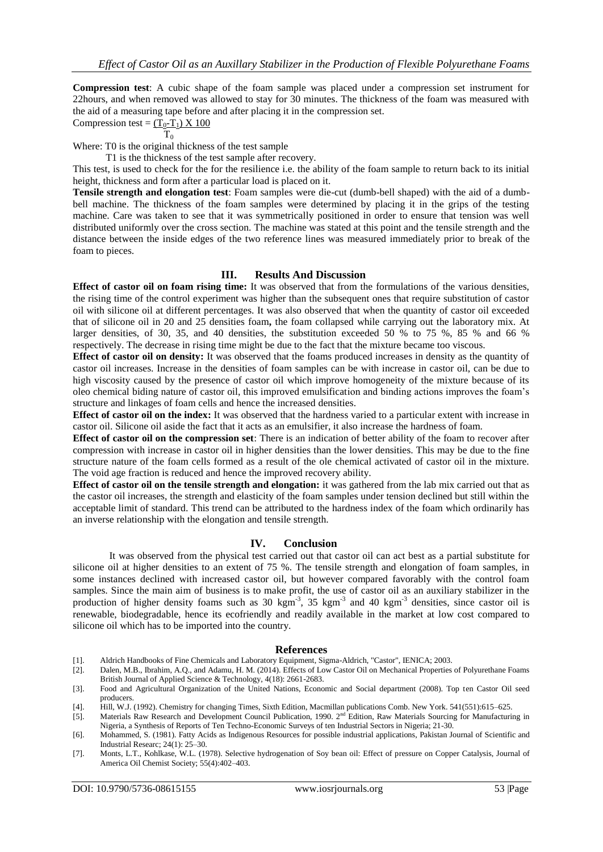**Compression test**: A cubic shape of the foam sample was placed under a compression set instrument for 22hours, and when removed was allowed to stay for 30 minutes. The thickness of the foam was measured with the aid of a measuring tape before and after placing it in the compression set.

Compression test =  $(T_0-T_1) \times 100$  $T_0$ 

Where: T0 is the original thickness of the test sample

T1 is the thickness of the test sample after recovery.

This test, is used to check for the for the resilience i.e. the ability of the foam sample to return back to its initial height, thickness and form after a particular load is placed on it.

**Tensile strength and elongation test**: Foam samples were die-cut (dumb-bell shaped) with the aid of a dumbbell machine. The thickness of the foam samples were determined by placing it in the grips of the testing machine. Care was taken to see that it was symmetrically positioned in order to ensure that tension was well distributed uniformly over the cross section. The machine was stated at this point and the tensile strength and the distance between the inside edges of the two reference lines was measured immediately prior to break of the foam to pieces.

## **III. Results And Discussion**

**Effect of castor oil on foam rising time:** It was observed that from the formulations of the various densities, the rising time of the control experiment was higher than the subsequent ones that require substitution of castor oil with silicone oil at different percentages. It was also observed that when the quantity of castor oil exceeded that of silicone oil in 20 and 25 densities foam**,** the foam collapsed while carrying out the laboratory mix. At larger densities, of 30, 35, and 40 densities, the substitution exceeded 50 % to 75 %, 85 % and 66 % respectively. The decrease in rising time might be due to the fact that the mixture became too viscous.

**Effect of castor oil on density:** It was observed that the foams produced increases in density as the quantity of castor oil increases. Increase in the densities of foam samples can be with increase in castor oil, can be due to high viscosity caused by the presence of castor oil which improve homogeneity of the mixture because of its oleo chemical biding nature of castor oil, this improved emulsification and binding actions improves the foam's structure and linkages of foam cells and hence the increased densities.

**Effect of castor oil on the index:** It was observed that the hardness varied to a particular extent with increase in castor oil. Silicone oil aside the fact that it acts as an emulsifier, it also increase the hardness of foam.

**Effect of castor oil on the compression set**: There is an indication of better ability of the foam to recover after compression with increase in castor oil in higher densities than the lower densities. This may be due to the fine structure nature of the foam cells formed as a result of the ole chemical activated of castor oil in the mixture. The void age fraction is reduced and hence the improved recovery ability.

**Effect of castor oil on the tensile strength and elongation:** it was gathered from the lab mix carried out that as the castor oil increases, the strength and elasticity of the foam samples under tension declined but still within the acceptable limit of standard. This trend can be attributed to the hardness index of the foam which ordinarily has an inverse relationship with the elongation and tensile strength.

## **IV. Conclusion**

It was observed from the physical test carried out that castor oil can act best as a partial substitute for silicone oil at higher densities to an extent of 75 %. The tensile strength and elongation of foam samples, in some instances declined with increased castor oil, but however compared favorably with the control foam samples. Since the main aim of business is to make profit, the use of castor oil as an auxiliary stabilizer in the production of higher density foams such as 30 kgm<sup>-3</sup>, 35 kgm<sup>-3</sup> and 40 kgm<sup>-3</sup> densities, since castor oil is renewable, biodegradable, hence its ecofriendly and readily available in the market at low cost compared to silicone oil which has to be imported into the country.

#### **References**

- [1]. Aldrich Handbooks of Fine Chemicals and Laboratory Equipment, Sigma-Aldrich, "Castor", IENICA; 2003.
- Dalen, M.B., Ibrahim, A.Q., and Adamu, H. M. (2014). Effects of Low Castor Oil on Mechanical Properties of Polyurethane Foams British Journal of Applied Science & Technology, 4(18): 2661-2683.
- [3]. Food and Agricultural Organization of the United Nations, Economic and Social department (2008). Top ten Castor Oil seed producers.
- [4]. Hill, W.J. (1992). Chemistry for changing Times, Sixth Edition, Macmillan publications Comb. New York. 541(551):615–625.
- [5]. Materials Raw Research and Development Council Publication, 1990. 2<sup>nd</sup> Edition, Raw Materials Sourcing for Manufacturing in Nigeria, a Synthesis of Reports of Ten Techno-Economic Surveys of ten Industrial Sectors in Nigeria; 21-30.
- [6]. Mohammed, S. (1981). Fatty Acids as Indigenous Resources for possible industrial applications, Pakistan Journal of Scientific and Industrial Researc; 24(1): 25–30.
- [7]. Monts, L.T., Kohlkase, W.L. (1978). Selective hydrogenation of Soy bean oil: Effect of pressure on Copper Catalysis, Journal of America Oil Chemist Society; 55(4):402–403.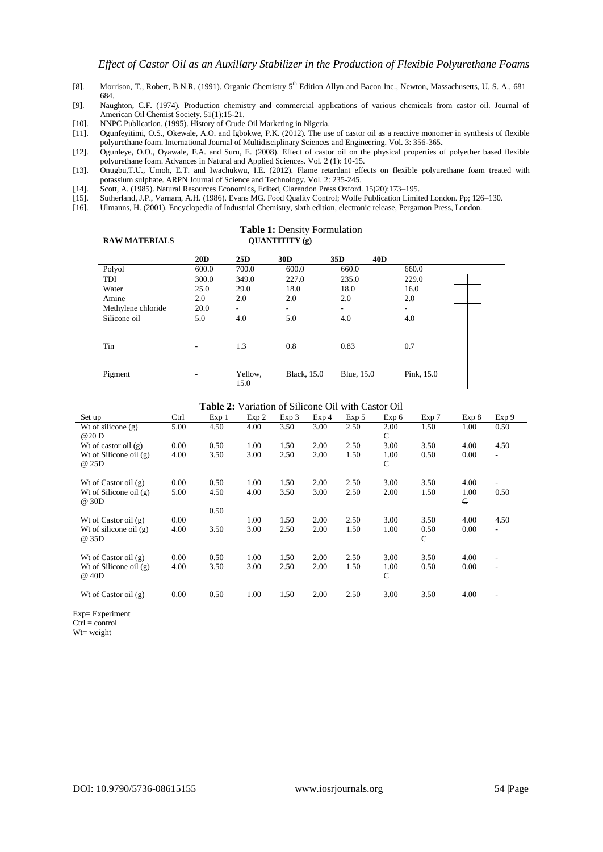- [8]. Morrison, T., Robert, B.N.R. (1991). Organic Chemistry 5<sup>th</sup> Edition Allyn and Bacon Inc., Newton, Massachusetts, U. S. A., 681– 684.
- [9]. Naughton, C.F. (1974). Production chemistry and commercial applications of various chemicals from castor oil. Journal of American Oil Chemist Society. 51(1):15-21.
- [10]. NNPC Publication. (1995). History of Crude Oil Marketing in Nigeria.<br>[11]. Ogunfeyitimi, O.S., Okewale, A.O. and Igbokwe, P.K. (2012). The us
- Ogunfeyitimi, O.S., Okewale, A.O. and Igbokwe, P.K. (2012). The use of castor oil as a reactive monomer in synthesis of flexible polyurethane foam. International Journal of Multidisciplinary Sciences and Engineering. Vol. 3: 356-365**.**
- [12]. Ogunleye, O.O., Oyawale, F.A. and Suru, E. (2008). Effect of castor oil on the physical properties of polyether based flexible polyurethane foam. Advances in Natural and Applied Sciences. Vol. 2 (1): 10-15.
- [13]. Onugbu,T.U., Umoh, E.T. and Iwachukwu, I.E. (2012). Flame retardant effects on flexible polyurethane foam treated with potassium sulphate. ARPN Journal of Science and Technology. Vol. 2: 235-245.
- 
- [14]. Scott, A. (1985). Natural Resources Economics, Edited, Clarendon Press Oxford. 15(20):173–195. [15]. Sutherland, J.P., Varnam, A.H. (1986). Evans MG. Food Quality Control; Wolfe Publication Limited London. Pp; 126–130. [16]. Ulmanns, H. (2001). Encyclopedia of Industrial Chemistry, sixth edition, electronic release,
- [16]. Ulmanns, H. (2001). Encyclopedia of Industrial Chemistry, sixth edition, electronic release, Pergamon Press, London.

|                      |       |                          | <b>Table 1: Density Formulation</b> |                                    |                          |  |
|----------------------|-------|--------------------------|-------------------------------------|------------------------------------|--------------------------|--|
| <b>RAW MATERIALS</b> |       |                          |                                     |                                    |                          |  |
|                      | 20D   | 25 <sub>D</sub>          | 30 <sub>D</sub>                     | 35 <sub>D</sub><br>40 <sub>D</sub> |                          |  |
| Polyol               | 600.0 | 700.0                    | 600.0                               | 660.0                              | 660.0                    |  |
| TDI                  | 300.0 | 349.0                    | 227.0                               | 235.0                              | 229.0                    |  |
| Water                | 25.0  | 29.0                     | 18.0                                | 18.0                               | 16.0                     |  |
| Amine                | 2.0   | 2.0                      | 2.0                                 | 2.0                                | 2.0                      |  |
| Methylene chloride   | 20.0  | $\overline{\phantom{0}}$ |                                     |                                    | $\overline{\phantom{a}}$ |  |
| Silicone oil         | 5.0   | 4.0                      | 5.0                                 | 4.0                                | 4.0                      |  |
| Tin                  | ٠     | 1.3                      | 0.8                                 | 0.83                               | 0.7                      |  |
| Pigment              |       | Yellow,<br>15.0          | <b>Black</b> , 15.0                 | <b>Blue</b> , 15.0                 | Pink, 15.0               |  |

#### **Table 2:** Variation of Silicone Oil with Castor Oil

| Set up                   | Ctrl | Exp <sub>1</sub> | Exp 2 | Exp <sub>3</sub> | Exp <sub>4</sub> | Exp 5 | Exp 6      | Exp 7      | Exp 8      | Exp 9                    |
|--------------------------|------|------------------|-------|------------------|------------------|-------|------------|------------|------------|--------------------------|
| Wt of silicone $(g)$     | 5.00 | 4.50             | 4.00  | 3.50             | 3.00             | 2.50  | 2.00       | 1.50       | 1.00       | 0.50                     |
| @20 D                    |      |                  |       |                  |                  |       | $\epsilon$ |            |            |                          |
| Wt of castor oil $(g)$   | 0.00 | 0.50             | 1.00  | 1.50             | 2.00             | 2.50  | 3.00       | 3.50       | 4.00       | 4.50                     |
| Wt of Silicone oil $(g)$ | 4.00 | 3.50             | 3.00  | 2.50             | 2.00             | 1.50  | 1.00       | 0.50       | 0.00       | $\overline{\phantom{0}}$ |
| @ 25D                    |      |                  |       |                  |                  |       | $\epsilon$ |            |            |                          |
|                          |      |                  |       |                  |                  |       |            |            |            |                          |
| Wt of Castor oil $(g)$   | 0.00 | 0.50             | 1.00  | 1.50             | 2.00             | 2.50  | 3.00       | 3.50       | 4.00       | ٠                        |
| Wt of Silicone oil $(g)$ | 5.00 | 4.50             | 4.00  | 3.50             | 3.00             | 2.50  | 2.00       | 1.50       | 1.00       | 0.50                     |
| @ 30D                    |      |                  |       |                  |                  |       |            |            | $\epsilon$ |                          |
|                          |      | 0.50             |       |                  |                  |       |            |            |            |                          |
| Wt of Castor oil $(g)$   | 0.00 |                  | 1.00  | 1.50             | 2.00             | 2.50  | 3.00       | 3.50       | 4.00       | 4.50                     |
| Wt of silicone oil $(g)$ | 4.00 | 3.50             | 3.00  | 2.50             | 2.00             | 1.50  | 1.00       | 0.50       | 0.00       | $\overline{\phantom{0}}$ |
| @ 35D                    |      |                  |       |                  |                  |       |            | $\epsilon$ |            |                          |
|                          |      |                  |       |                  |                  |       |            |            |            |                          |
| Wt of Castor oil $(g)$   | 0.00 | 0.50             | 1.00  | 1.50             | 2.00             | 2.50  | 3.00       | 3.50       | 4.00       | $\overline{\phantom{a}}$ |
| Wt of Silicone oil $(g)$ | 4.00 | 3.50             | 3.00  | 2.50             | 2.00             | 1.50  | 1.00       | 0.50       | 0.00       | $\overline{\phantom{a}}$ |
| @ 40D                    |      |                  |       |                  |                  |       | $\epsilon$ |            |            |                          |
|                          |      |                  |       |                  |                  |       |            |            |            |                          |
| Wt of Castor oil $(g)$   | 0.00 | 0.50             | 1.00  | 1.50             | 2.00             | 2.50  | 3.00       | 3.50       | 4.00       | $\overline{\phantom{a}}$ |
|                          |      |                  |       |                  |                  |       |            |            |            |                          |

Exp= Experiment

Ctrl = control

W<sub>t=</sub> weight